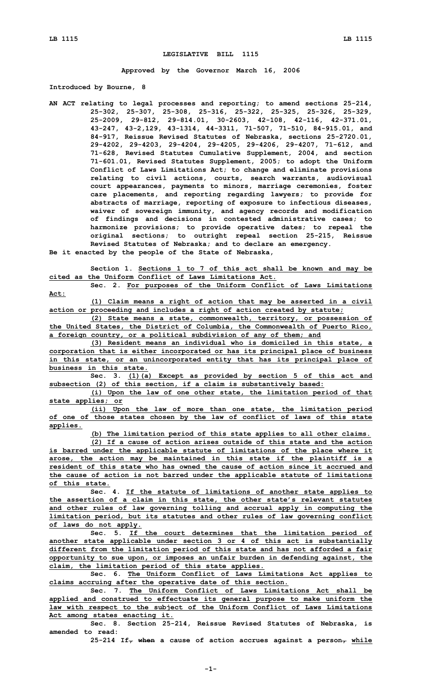## **LEGISLATIVE BILL 1115**

**Approved by the Governor March 16, 2006**

**Introduced by Bourne, 8**

**AN ACT relating to legal processes and reporting; to amend sections 25-214, 25-302, 25-307, 25-308, 25-316, 25-322, 25-325, 25-326, 25-329, 25-2009, 29-812, 29-814.01, 30-2603, 42-108, 42-116, 42-371.01, 43-247, 43-2,129, 43-1314, 44-3311, 71-507, 71-510, 84-915.01, and 84-917, Reissue Revised Statutes of Nebraska, sections 25-2720.01, 29-4202, 29-4203, 29-4204, 29-4205, 29-4206, 29-4207, 71-612, and 71-628, Revised Statutes Cumulative Supplement, 2004, and section 71-601.01, Revised Statutes Supplement, 2005; to adopt the Uniform Conflict of Laws Limitations Act; to change and eliminate provisions relating to civil actions, courts, search warrants, audiovisual court appearances, payments to minors, marriage ceremonies, foster care placements, and reporting regarding lawyers; to provide for abstracts of marriage, reporting of exposure to infectious diseases, waiver of sovereign immunity, and agency records and modification of findings and decisions in contested administrative cases; to harmonize provisions; to provide operative dates; to repeal the original sections; to outright repeal section 25-215, Reissue Revised Statutes of Nebraska; and to declare an emergency.**

**Be it enacted by the people of the State of Nebraska,**

**Section 1. Sections 1 to 7 of this act shall be known and may be cited as the Uniform Conflict of Laws Limitations Act.**

**Sec. 2. For purposes of the Uniform Conflict of Laws Limitations Act:**

**(1) Claim means <sup>a</sup> right of action that may be asserted in <sup>a</sup> civil action or proceeding and includes <sup>a</sup> right of action created by statute;**

**(2) State means <sup>a</sup> state, commonwealth, territory, or possession of the United States, the District of Columbia, the Commonwealth of Puerto Rico, <sup>a</sup> foreign country, or <sup>a</sup> political subdivision of any of them; and**

**(3) Resident means an individual who is domiciled in this state, <sup>a</sup> corporation that is either incorporated or has its principal place of business in this state, or an unincorporated entity that has its principal place of business in this state.**

**Sec. 3. (1)(a) Except as provided by section 5 of this act and subsection (2) of this section, if <sup>a</sup> claim is substantively based:**

**(i) Upon the law of one other state, the limitation period of that state applies; or**

**(ii) Upon the law of more than one state, the limitation period of one of those states chosen by the law of conflict of laws of this state applies.**

**(b) The limitation period of this state applies to all other claims.**

**(2) If <sup>a</sup> cause of action arises outside of this state and the action is barred under the applicable statute of limitations of the place where it arose, the action may be maintained in this state if the plaintiff is <sup>a</sup> resident of this state who has owned the cause of action since it accrued and the cause of action is not barred under the applicable statute of limitations of this state.**

**Sec. 4. If the statute of limitations of another state applies to the assertion of <sup>a</sup> claim in this state, the other state's relevant statutes and other rules of law governing tolling and accrual apply in computing the limitation period, but its statutes and other rules of law governing conflict of laws do not apply.**

**Sec. 5. If the court determines that the limitation period of another state applicable under section 3 or 4 of this act is substantially different from the limitation period of this state and has not afforded <sup>a</sup> fair opportunity to sue upon, or imposes an unfair burden in defending against, the claim, the limitation period of this state applies.**

**Sec. 6. The Uniform Conflict of Laws Limitations Act applies to claims accruing after the operative date of this section.**

**Sec. 7. The Uniform Conflict of Laws Limitations Act shall be applied and construed to effectuate its general purpose to make uniform the law with respect to the subject of the Uniform Conflict of Laws Limitations Act among states enacting it.**

**Sec. 8. Section 25-214, Reissue Revised Statutes of Nebraska, is amended to read:**

**25-214 If, when <sup>a</sup> cause of action accrues against <sup>a</sup> person, while**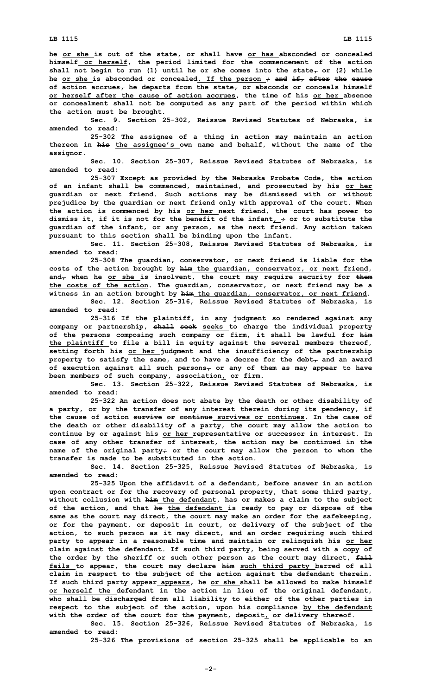## **LB 1115 LB 1115**

**he or she is out of the state, or shall have or has absconded or concealed himself or herself, the period limited for the commencement of the action shall not begin to run (1) until he or she comes into the state, or (2) while he or she is absconded or concealed. If the person ; and if, after the cause of action accrues, he departs from the state, or absconds or conceals himself or herself after the cause of action accrues, the time of his or her absence or concealment shall not be computed as any part of the period within which the action must be brought.**

**Sec. 9. Section 25-302, Reissue Revised Statutes of Nebraska, is amended to read:**

**25-302 The assignee of <sup>a</sup> thing in action may maintain an action thereon in his the assignee's own name and behalf, without the name of the assignor.**

**Sec. 10. Section 25-307, Reissue Revised Statutes of Nebraska, is amended to read:**

**25-307 Except as provided by the Nebraska Probate Code, the action of an infant shall be commenced, maintained, and prosecuted by his or her guardian or next friend. Such actions may be dismissed with or without prejudice by the guardian or next friend only with approval of the court. When the action is commenced by his or her next friend, the court has power to dismiss it, if it is not for the benefit of the infant, ; or to substitute the guardian of the infant, or any person, as the next friend. Any action taken pursuant to this section shall be binding upon the infant.**

**Sec. 11. Section 25-308, Reissue Revised Statutes of Nebraska, is amended to read:**

**25-308 The guardian, conservator, or next friend is liable for the costs of the action brought by him the guardian, conservator, or next friend, and, when he or she is insolvent, the court may require security for them the costs of the action. The guardian, conservator, or next friend may be <sup>a</sup> witness in an action brought by him the guardian, conservator, or next friend.**

**Sec. 12. Section 25-316, Reissue Revised Statutes of Nebraska, is amended to read:**

**25-316 If the plaintiff, in any judgment so rendered against any company or partnership, shall seek seeks to charge the individual property of the persons composing such company or firm, it shall be lawful for him the plaintiff to file <sup>a</sup> bill in equity against the several members thereof, setting forth his or her judgment and the insufficiency of the partnership property to satisfy the same, and to have <sup>a</sup> decree for the debt, and an award of execution against all such persons, or any of them as may appear to have been members of such company, association, or firm.**

**Sec. 13. Section 25-322, Reissue Revised Statutes of Nebraska, is amended to read:**

**25-322 An action does not abate by the death or other disability of <sup>a</sup> party, or by the transfer of any interest therein during its pendency, if the cause of action survive or continue survives or continues. In the case of the death or other disability of <sup>a</sup> party, the court may allow the action to continue by or against his or her representative or successor in interest. In case of any other transfer of interest, the action may be continued in the name of the original party; or the court may allow the person to whom the transfer is made to be substituted in the action.**

**Sec. 14. Section 25-325, Reissue Revised Statutes of Nebraska, is amended to read:**

**25-325 Upon the affidavit of <sup>a</sup> defendant, before answer in an action upon contract or for the recovery of personal property, that some third party, without collusion with him the defendant, has or makes <sup>a</sup> claim to the subject of the action, and that he the defendant is ready to pay or dispose of the same as the court may direct, the court may make an order for the safekeeping, or for the payment, or deposit in court, or delivery of the subject of the action, to such person as it may direct, and an order requiring such third party to appear in <sup>a</sup> reasonable time and maintain or relinquish his or her claim against the defendant. If such third party, being served with <sup>a</sup> copy of the order by the sheriff or such other person as the court may direct, fail fails to appear, the court may declare him such third party barred of all claim in respect to the subject of the action against the defendant therein. If such third party appear appears, he or she shall be allowed to make himself or herself the defendant in the action in lieu of the original defendant, who shall be discharged from all liability to either of the other parties in respect to the subject of the action, upon his compliance by the defendant with the order of the court for the payment, deposit, or delivery thereof.**

**Sec. 15. Section 25-326, Reissue Revised Statutes of Nebraska, is amended to read:**

**25-326 The provisions of section 25-325 shall be applicable to an**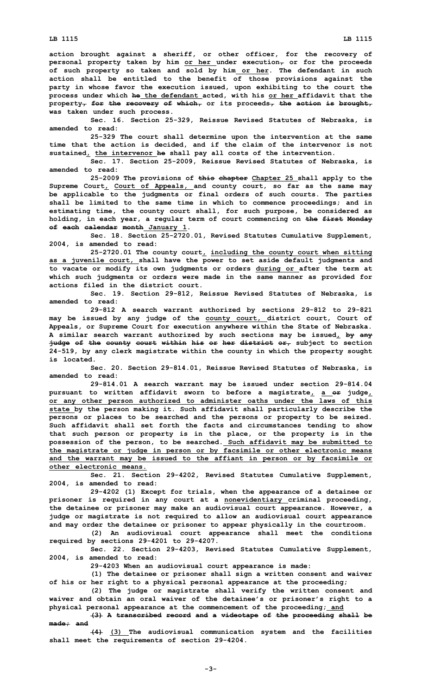**action brought against <sup>a</sup> sheriff, or other officer, for the recovery of personal property taken by him or her under execution, or for the proceeds of such property so taken and sold by him or her. The defendant in such action shall be entitled to the benefit of those provisions against the party in whose favor the execution issued, upon exhibiting to the court the process under which he the defendant acted, with his or her affidavit that the property, for the recovery of which, or its proceeds, the action is brought, was taken under such process.**

**Sec. 16. Section 25-329, Reissue Revised Statutes of Nebraska, is amended to read:**

**25-329 The court shall determine upon the intervention at the same time that the action is decided, and if the claim of the intervenor is not sustained, the intervenor he shall pay all costs of the intervention.**

**Sec. 17. Section 25-2009, Reissue Revised Statutes of Nebraska, is amended to read:**

**25-2009 The provisions of this chapter Chapter 25 shall apply to the Supreme Court, Court of Appeals, and county court, so far as the same may be applicable to the judgments or final orders of such courts. The parties shall be limited to the same time in which to commence proceedings; and in estimating time, the county court shall, for such purpose, be considered as holding, in each year, <sup>a</sup> regular term of court commencing on the first Monday of each calendar month January 1.**

**Sec. 18. Section 25-2720.01, Revised Statutes Cumulative Supplement, 2004, is amended to read:**

**25-2720.01 The county court, including the county court when sitting as <sup>a</sup> juvenile court, shall have the power to set aside default judgments and to vacate or modify its own judgments or orders during or after the term at which such judgments or orders were made in the same manner as provided for actions filed in the district court.**

**Sec. 19. Section 29-812, Reissue Revised Statutes of Nebraska, is amended to read:**

**29-812 <sup>A</sup> search warrant authorized by sections 29-812 to 29-821 may be issued by any judge of the county court, district court, Court of Appeals, or Supreme Court for execution anywhere within the State of Nebraska. A similar search warrant authorized by such sections may be issued, by any judge of the county court within his or her district or, subject to section 24-519, by any clerk magistrate within the county in which the property sought is located.**

**Sec. 20. Section 29-814.01, Reissue Revised Statutes of Nebraska, is amended to read:**

**29-814.01 <sup>A</sup> search warrant may be issued under section 29-814.04 pursuant to written affidavit sworn to before <sup>a</sup> magistrate, <sup>a</sup> or judge, or any other person authorized to administer oaths under the laws of this state by the person making it. Such affidavit shall particularly describe the persons or places to be searched and the persons or property to be seized. Such affidavit shall set forth the facts and circumstances tending to show that such person or property is in the place, or the property is in the possession of the person, to be searched. Such affidavit may be submitted to the magistrate or judge in person or by facsimile or other electronic means and the warrant may be issued to the affiant in person or by facsimile or other electronic means.**

**Sec. 21. Section 29-4202, Revised Statutes Cumulative Supplement, 2004, is amended to read:**

**29-4202 (1) Except for trials, when the appearance of <sup>a</sup> detainee or prisoner is required in any court at <sup>a</sup> nonevidentiary criminal proceeding, the detainee or prisoner may make an audiovisual court appearance. However, <sup>a</sup> judge or magistrate is not required to allow an audiovisual court appearance and may order the detainee or prisoner to appear physically in the courtroom.**

**(2) An audiovisual court appearance shall meet the conditions required by sections 29-4201 to 29-4207.**

**Sec. 22. Section 29-4203, Revised Statutes Cumulative Supplement, 2004, is amended to read:**

**29-4203 When an audiovisual court appearance is made:**

**(1) The detainee or prisoner shall sign <sup>a</sup> written consent and waiver of his or her right to <sup>a</sup> physical personal appearance at the proceeding;**

**(2) The judge or magistrate shall verify the written consent and waiver and obtain an oral waiver of the detainee's or prisoner's right to <sup>a</sup> physical personal appearance at the commencement of the proceeding; and**

**(3) <sup>A</sup> transcribed record and <sup>a</sup> videotape of the proceeding shall be made; and**

**(4) (3) The audiovisual communication system and the facilities shall meet the requirements of section 29-4204.**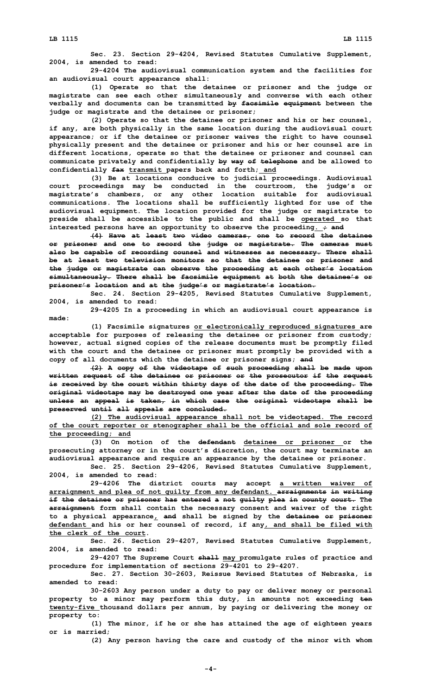**Sec. 23. Section 29-4204, Revised Statutes Cumulative Supplement, 2004, is amended to read:**

**29-4204 The audiovisual communication system and the facilities for an audiovisual court appearance shall:**

**(1) Operate so that the detainee or prisoner and the judge or magistrate can see each other simultaneously and converse with each other verbally and documents can be transmitted by facsimile equipment between the judge or magistrate and the detainee or prisoner;**

**(2) Operate so that the detainee or prisoner and his or her counsel, if any, are both physically in the same location during the audiovisual court appearance; or if the detainee or prisoner waives the right to have counsel physically present and the detainee or prisoner and his or her counsel are in different locations, operate so that the detainee or prisoner and counsel can communicate privately and confidentially by way of telephone and be allowed to confidentially fax transmit papers back and forth; and**

**(3) Be at locations conducive to judicial proceedings. Audiovisual court proceedings may be conducted in the courtroom, the judge's or magistrate's chambers, or any other location suitable for audiovisual communications. The locations shall be sufficiently lighted for use of the audiovisual equipment. The location provided for the judge or magistrate to preside shall be accessible to the public and shall be operated so that interested persons have an opportunity to observe the proceeding. ; and**

**(4) Have at least two video cameras, one to record the detainee or prisoner and one to record the judge or magistrate. The cameras must also be capable of recording counsel and witnesses as necessary. There shall be at least two television monitors so that the detainee or prisoner and the judge or magistrate can observe the proceeding at each other's location simultaneously. There shall be facsimile equipment at both the detainee's or prisoner's location and at the judge's or magistrate's location.**

**Sec. 24. Section 29-4205, Revised Statutes Cumulative Supplement, 2004, is amended to read:**

**29-4205 In <sup>a</sup> proceeding in which an audiovisual court appearance is made:**

**(1) Facsimile signatures or electronically reproduced signatures are acceptable for purposes of releasing the detainee or prisoner from custody; however, actual signed copies of the release documents must be promptly filed with the court and the detainee or prisoner must promptly be provided with <sup>a</sup> copy of all documents which the detainee or prisoner signs; and**

**(2) <sup>A</sup> copy of the videotape of such proceeding shall be made upon written request of the detainee or prisoner or the prosecutor if the request is received by the court within thirty days of the date of the proceeding. The original videotape may be destroyed one year after the date of the proceeding unless an appeal is taken, in which case the original videotape shall be preserved until all appeals are concluded.**

**(2) The audiovisual appearance shall not be videotaped. The record of the court reporter or stenographer shall be the official and sole record of the proceeding; and**

**(3) On motion of the defendant detainee or prisoner or the prosecuting attorney or in the court's discretion, the court may terminate an audiovisual appearance and require an appearance by the detainee or prisoner.**

**Sec. 25. Section 29-4206, Revised Statutes Cumulative Supplement, 2004, is amended to read:**

**29-4206 The district courts may accept <sup>a</sup> written waiver of arraignment and plea of not guilty from any defendant. arraignments in writing if the detainee or prisoner has entered <sup>a</sup> not guilty plea in county court. The arraignment form shall contain the necessary consent and waiver of the right to <sup>a</sup> physical appearance, and shall be signed by the detainee or prisoner defendant and his or her counsel of record, if any, and shall be filed with the clerk of the court.**

**Sec. 26. Section 29-4207, Revised Statutes Cumulative Supplement, 2004, is amended to read:**

**29-4207 The Supreme Court shall may promulgate rules of practice and procedure for implementation of sections 29-4201 to 29-4207.**

**Sec. 27. Section 30-2603, Reissue Revised Statutes of Nebraska, is amended to read:**

**30-2603 Any person under <sup>a</sup> duty to pay or deliver money or personal property to <sup>a</sup> minor may perform this duty, in amounts not exceeding ten twenty-five thousand dollars per annum, by paying or delivering the money or property to:**

**(1) The minor, if he or she has attained the age of eighteen years or is married;**

**(2) Any person having the care and custody of the minor with whom**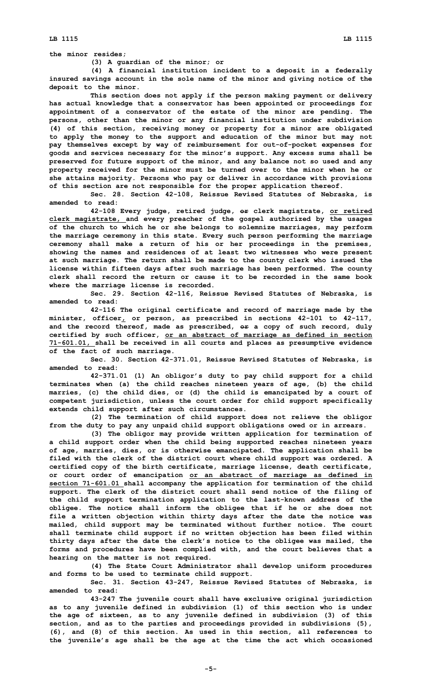**the minor resides;**

**(3) <sup>A</sup> guardian of the minor; or**

**(4) <sup>A</sup> financial institution incident to <sup>a</sup> deposit in <sup>a</sup> federally insured savings account in the sole name of the minor and giving notice of the deposit to the minor.**

**This section does not apply if the person making payment or delivery has actual knowledge that <sup>a</sup> conservator has been appointed or proceedings for appointment of <sup>a</sup> conservator of the estate of the minor are pending. The persons, other than the minor or any financial institution under subdivision (4) of this section, receiving money or property for <sup>a</sup> minor are obligated to apply the money to the support and education of the minor but may not pay themselves except by way of reimbursement for out-of-pocket expenses for goods and services necessary for the minor's support. Any excess sums shall be preserved for future support of the minor, and any balance not so used and any property received for the minor must be turned over to the minor when he or she attains majority. Persons who pay or deliver in accordance with provisions of this section are not responsible for the proper application thereof.**

**Sec. 28. Section 42-108, Reissue Revised Statutes of Nebraska, is amended to read:**

**42-108 Every judge, retired judge, or clerk magistrate, or retired clerk magistrate, and every preacher of the gospel authorized by the usages of the church to which he or she belongs to solemnize marriages, may perform the marriage ceremony in this state. Every such person performing the marriage ceremony shall make <sup>a</sup> return of his or her proceedings in the premises, showing the names and residences of at least two witnesses who were present at such marriage. The return shall be made to the county clerk who issued the license within fifteen days after such marriage has been performed. The county clerk shall record the return or cause it to be recorded in the same book where the marriage license is recorded.**

**Sec. 29. Section 42-116, Reissue Revised Statutes of Nebraska, is amended to read:**

**42-116 The original certificate and record of marriage made by the minister, officer, or person, as prescribed in sections 42-101 to 42-117, and the record thereof, made as prescribed, or <sup>a</sup> copy of such record, duly certified by such officer, or an abstract of marriage as defined in section 71-601.01, shall be received in all courts and places as presumptive evidence of the fact of such marriage.**

**Sec. 30. Section 42-371.01, Reissue Revised Statutes of Nebraska, is amended to read:**

**42-371.01 (1) An obligor's duty to pay child support for <sup>a</sup> child terminates when (a) the child reaches nineteen years of age, (b) the child marries, (c) the child dies, or (d) the child is emancipated by <sup>a</sup> court of competent jurisdiction, unless the court order for child support specifically extends child support after such circumstances.**

**(2) The termination of child support does not relieve the obligor from the duty to pay any unpaid child support obligations owed or in arrears.**

**(3) The obligor may provide written application for termination of <sup>a</sup> child support order when the child being supported reaches nineteen years of age, marries, dies, or is otherwise emancipated. The application shall be filed with the clerk of the district court where child support was ordered. A certified copy of the birth certificate, marriage license, death certificate, or court order of emancipation or an abstract of marriage as defined in section 71-601.01 shall accompany the application for termination of the child support. The clerk of the district court shall send notice of the filing of the child support termination application to the last-known address of the obligee. The notice shall inform the obligee that if he or she does not file <sup>a</sup> written objection within thirty days after the date the notice was mailed, child support may be terminated without further notice. The court shall terminate child support if no written objection has been filed within thirty days after the date the clerk's notice to the obligee was mailed, the forms and procedures have been complied with, and the court believes that <sup>a</sup> hearing on the matter is not required.**

**(4) The State Court Administrator shall develop uniform procedures and forms to be used to terminate child support.**

**Sec. 31. Section 43-247, Reissue Revised Statutes of Nebraska, is amended to read:**

**43-247 The juvenile court shall have exclusive original jurisdiction as to any juvenile defined in subdivision (1) of this section who is under the age of sixteen, as to any juvenile defined in subdivision (3) of this section, and as to the parties and proceedings provided in subdivisions (5), (6), and (8) of this section. As used in this section, all references to the juvenile's age shall be the age at the time the act which occasioned**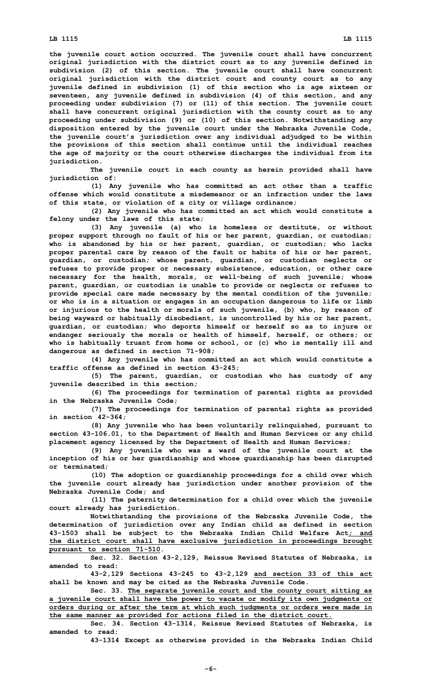**the juvenile court action occurred. The juvenile court shall have concurrent original jurisdiction with the district court as to any juvenile defined in subdivision (2) of this section. The juvenile court shall have concurrent original jurisdiction with the district court and county court as to any juvenile defined in subdivision (1) of this section who is age sixteen or seventeen, any juvenile defined in subdivision (4) of this section, and any proceeding under subdivision (7) or (11) of this section. The juvenile court shall have concurrent original jurisdiction with the county court as to any proceeding under subdivision (9) or (10) of this section. Notwithstanding any disposition entered by the juvenile court under the Nebraska Juvenile Code, the juvenile court's jurisdiction over any individual adjudged to be within the provisions of this section shall continue until the individual reaches the age of majority or the court otherwise discharges the individual from its jurisdiction.**

**The juvenile court in each county as herein provided shall have jurisdiction of:**

**(1) Any juvenile who has committed an act other than <sup>a</sup> traffic offense which would constitute a misdemeanor or an infraction under the laws of this state, or violation of <sup>a</sup> city or village ordinance;**

**(2) Any juvenile who has committed an act which would constitute <sup>a</sup> felony under the laws of this state;**

**(3) Any juvenile (a) who is homeless or destitute, or without proper support through no fault of his or her parent, guardian, or custodian; who is abandoned by his or her parent, guardian, or custodian; who lacks proper parental care by reason of the fault or habits of his or her parent, guardian, or custodian; whose parent, guardian, or custodian neglects or refuses to provide proper or necessary subsistence, education, or other care necessary for the health, morals, or well-being of such juvenile; whose parent, guardian, or custodian is unable to provide or neglects or refuses to provide special care made necessary by the mental condition of the juvenile; or who is in <sup>a</sup> situation or engages in an occupation dangerous to life or limb or injurious to the health or morals of such juvenile, (b) who, by reason of being wayward or habitually disobedient, is uncontrolled by his or her parent, guardian, or custodian; who deports himself or herself so as to injure or endanger seriously the morals or health of himself, herself, or others; or who is habitually truant from home or school, or (c) who is mentally ill and dangerous as defined in section 71-908;**

**(4) Any juvenile who has committed an act which would constitute <sup>a</sup> traffic offense as defined in section 43-245;**

**(5) The parent, guardian, or custodian who has custody of any juvenile described in this section;**

**(6) The proceedings for termination of parental rights as provided in the Nebraska Juvenile Code;**

**(7) The proceedings for termination of parental rights as provided in section 42-364;**

**(8) Any juvenile who has been voluntarily relinquished, pursuant to section 43-106.01, to the Department of Health and Human Services or any child placement agency licensed by the Department of Health and Human Services;**

**(9) Any juvenile who was <sup>a</sup> ward of the juvenile court at the inception of his or her guardianship and whose guardianship has been disrupted or terminated;**

**(10) The adoption or guardianship proceedings for <sup>a</sup> child over which the juvenile court already has jurisdiction under another provision of the Nebraska Juvenile Code; and**

**(11) The paternity determination for <sup>a</sup> child over which the juvenile court already has jurisdiction.**

**Notwithstanding the provisions of the Nebraska Juvenile Code, the determination of jurisdiction over any Indian child as defined in section 43-1503 shall be subject to the Nebraska Indian Child Welfare Act; and the district court shall have exclusive jurisdiction in proceedings brought pursuant to section 71-510.**

**Sec. 32. Section 43-2,129, Reissue Revised Statutes of Nebraska, is amended to read:**

**43-2,129 Sections 43-245 to 43-2,129 and section 33 of this act shall be known and may be cited as the Nebraska Juvenile Code.**

**Sec. 33. The separate juvenile court and the county court sitting as <sup>a</sup> juvenile court shall have the power to vacate or modify its own judgments or orders during or after the term at which such judgments or orders were made in the same manner as provided for actions filed in the district court.**

**Sec. 34. Section 43-1314, Reissue Revised Statutes of Nebraska, is amended to read:**

**43-1314 Except as otherwise provided in the Nebraska Indian Child**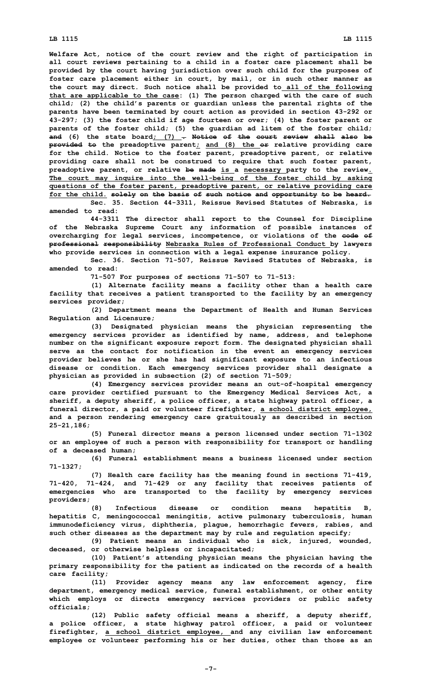## **LB 1115 LB 1115**

**Welfare Act, notice of the court review and the right of participation in all court reviews pertaining to <sup>a</sup> child in <sup>a</sup> foster care placement shall be provided by the court having jurisdiction over such child for the purposes of foster care placement either in court, by mail, or in such other manner as the court may direct. Such notice shall be provided to all of the following that are applicable to the case: (1) The person charged with the care of such child; (2) the child's parents or guardian unless the parental rights of the parents have been terminated by court action as provided in section 43-292 or 43-297; (3) the foster child if age fourteen or over; (4) the foster parent or parents of the foster child; (5) the guardian ad litem of the foster child; and (6) the state board; (7) . Notice of the court review shall also be provided to the preadoptive parent; and (8) the or relative providing care for the child. Notice to the foster parent, preadoptive parent, or relative providing care shall not be construed to require that such foster parent, preadoptive parent, or relative be made is <sup>a</sup> necessary party to the review. The court may inquire into the well-being of the foster child by asking questions of the foster parent, preadoptive parent, or relative providing care for the child. solely on the basis of such notice and opportunity to be heard.**

**Sec. 35. Section 44-3311, Reissue Revised Statutes of Nebraska, is amended to read:**

**44-3311 The director shall report to the Counsel for Discipline of the Nebraska Supreme Court any information of possible instances of overcharging for legal services, incompetence, or violations of the code of professional responsibility Nebraska Rules of Professional Conduct by lawyers who provide services in connection with <sup>a</sup> legal expense insurance policy.**

**Sec. 36. Section 71-507, Reissue Revised Statutes of Nebraska, is amended to read:**

**71-507 For purposes of sections 71-507 to 71-513:**

**(1) Alternate facility means <sup>a</sup> facility other than <sup>a</sup> health care facility that receives <sup>a</sup> patient transported to the facility by an emergency services provider;**

**(2) Department means the Department of Health and Human Services Regulation and Licensure;**

**(3) Designated physician means the physician representing the emergency services provider as identified by name, address, and telephone number on the significant exposure report form. The designated physician shall serve as the contact for notification in the event an emergency services provider believes he or she has had significant exposure to an infectious disease or condition. Each emergency services provider shall designate <sup>a</sup> physician as provided in subsection (2) of section 71-509;**

**(4) Emergency services provider means an out-of-hospital emergency care provider certified pursuant to the Emergency Medical Services Act, <sup>a</sup> sheriff, <sup>a</sup> deputy sheriff, <sup>a</sup> police officer, <sup>a</sup> state highway patrol officer, <sup>a</sup> funeral director, <sup>a</sup> paid or volunteer firefighter, <sup>a</sup> school district employee, and <sup>a</sup> person rendering emergency care gratuitously as described in section 25-21,186;**

**(5) Funeral director means <sup>a</sup> person licensed under section 71-1302 or an employee of such <sup>a</sup> person with responsibility for transport or handling of <sup>a</sup> deceased human;**

**(6) Funeral establishment means <sup>a</sup> business licensed under section 71-1327;**

**(7) Health care facility has the meaning found in sections 71-419, 71-420, 71-424, and 71-429 or any facility that receives patients of emergencies who are transported to the facility by emergency services providers;**

**(8) Infectious disease or condition means hepatitis B, hepatitis C, meningococcal meningitis, active pulmonary tuberculosis, human immunodeficiency virus, diphtheria, plague, hemorrhagic fevers, rabies, and such other diseases as the department may by rule and regulation specify;**

**(9) Patient means an individual who is sick, injured, wounded, deceased, or otherwise helpless or incapacitated;**

**(10) Patient's attending physician means the physician having the primary responsibility for the patient as indicated on the records of <sup>a</sup> health care facility;**

**(11) Provider agency means any law enforcement agency, fire department, emergency medical service, funeral establishment, or other entity which employs or directs emergency services providers or public safety officials;**

**(12) Public safety official means <sup>a</sup> sheriff, <sup>a</sup> deputy sheriff, <sup>a</sup> police officer, <sup>a</sup> state highway patrol officer, <sup>a</sup> paid or volunteer firefighter, <sup>a</sup> school district employee, and any civilian law enforcement employee or volunteer performing his or her duties, other than those as an**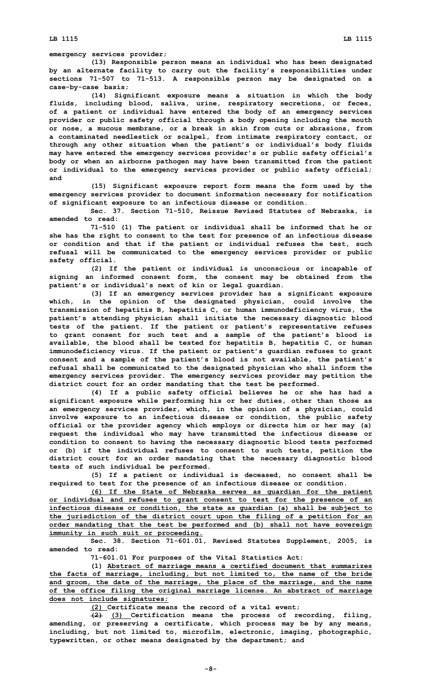**emergency services provider;**

**(13) Responsible person means an individual who has been designated by an alternate facility to carry out the facility's responsibilities under sections 71-507 to 71-513. <sup>A</sup> responsible person may be designated on <sup>a</sup> case-by-case basis;**

**(14) Significant exposure means <sup>a</sup> situation in which the body fluids, including blood, saliva, urine, respiratory secretions, or feces, of <sup>a</sup> patient or individual have entered the body of an emergency services provider or public safety official through <sup>a</sup> body opening including the mouth or nose, <sup>a</sup> mucous membrane, or <sup>a</sup> break in skin from cuts or abrasions, from <sup>a</sup> contaminated needlestick or scalpel, from intimate respiratory contact, or through any other situation when the patient's or individual's body fluids may have entered the emergency services provider's or public safety official's body or when an airborne pathogen may have been transmitted from the patient or individual to the emergency services provider or public safety official; and**

**(15) Significant exposure report form means the form used by the emergency services provider to document information necessary for notification of significant exposure to an infectious disease or condition.**

**Sec. 37. Section 71-510, Reissue Revised Statutes of Nebraska, is amended to read:**

**71-510 (1) The patient or individual shall be informed that he or she has the right to consent to the test for presence of an infectious disease or condition and that if the patient or individual refuses the test, such refusal will be communicated to the emergency services provider or public safety official.**

**(2) If the patient or individual is unconscious or incapable of signing an informed consent form, the consent may be obtained from the patient's or individual's next of kin or legal guardian.**

**(3) If an emergency services provider has <sup>a</sup> significant exposure which, in the opinion of the designated physician, could involve the transmission of hepatitis B, hepatitis C, or human immunodeficiency virus, the patient's attending physician shall initiate the necessary diagnostic blood tests of the patient. If the patient or patient's representative refuses to grant consent for such test and <sup>a</sup> sample of the patient's blood is available, the blood shall be tested for hepatitis B, hepatitis C, or human immunodeficiency virus. If the patient or patient's guardian refuses to grant consent and <sup>a</sup> sample of the patient's blood is not available, the patient's refusal shall be communicated to the designated physician who shall inform the emergency services provider. The emergency services provider may petition the district court for an order mandating that the test be performed.**

**(4) If <sup>a</sup> public safety official believes he or she has had <sup>a</sup> significant exposure while performing his or her duties, other than those as an emergency services provider, which, in the opinion of <sup>a</sup> physician, could involve exposure to an infectious disease or condition, the public safety official or the provider agency which employs or directs him or her may (a) request the individual who may have transmitted the infectious disease or condition to consent to having the necessary diagnostic blood tests performed or (b) if the individual refuses to consent to such tests, petition the district court for an order mandating that the necessary diagnostic blood tests of such individual be performed.**

**(5) If <sup>a</sup> patient or individual is deceased, no consent shall be required to test for the presence of an infectious disease or condition.**

**(6) If the State of Nebraska serves as guardian for the patient or individual and refuses to grant consent to test for the presence of an infectious disease or condition, the state as guardian (a) shall be subject to the jurisdiction of the district court upon the filing of <sup>a</sup> petition for an order mandating that the test be performed and (b) shall not have sovereign immunity in such suit or proceeding.**

**Sec. 38. Section 71-601.01, Revised Statutes Supplement, 2005, is amended to read:**

**71-601.01 For purposes of the Vital Statistics Act:**

**(1) Abstract of marriage means <sup>a</sup> certified document that summarizes the facts of marriage, including, but not limited to, the name of the bride and groom, the date of the marriage, the place of the marriage, and the name of the office filing the original marriage license. An abstract of marriage does not include signatures;**

**(2) Certificate means the record of <sup>a</sup> vital event;**

**(2) (3) Certification means the process of recording, filing, amending, or preserving <sup>a</sup> certificate, which process may be by any means, including, but not limited to, microfilm, electronic, imaging, photographic, typewritten, or other means designated by the department; and**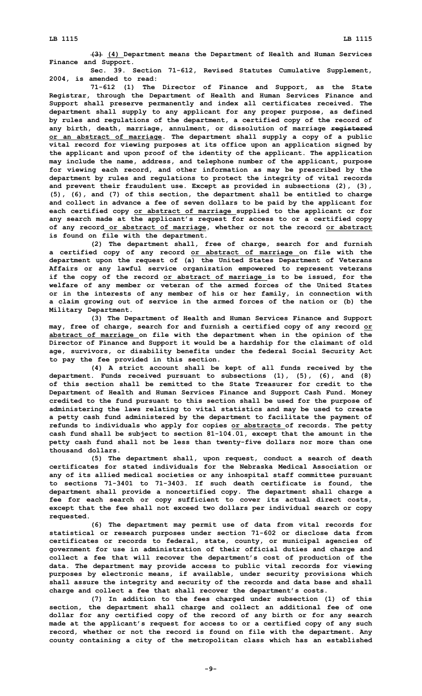**(3) (4) Department means the Department of Health and Human Services Finance and Support.**

**Sec. 39. Section 71-612, Revised Statutes Cumulative Supplement, 2004, is amended to read:**

**71-612 (1) The Director of Finance and Support, as the State Registrar, through the Department of Health and Human Services Finance and Support shall preserve permanently and index all certificates received. The department shall supply to any applicant for any proper purpose, as defined by rules and regulations of the department, <sup>a</sup> certified copy of the record of any birth, death, marriage, annulment, or dissolution of marriage registered or an abstract of marriage. The department shall supply <sup>a</sup> copy of <sup>a</sup> public vital record for viewing purposes at its office upon an application signed by the applicant and upon proof of the identity of the applicant. The application may include the name, address, and telephone number of the applicant, purpose for viewing each record, and other information as may be prescribed by the department by rules and regulations to protect the integrity of vital records and prevent their fraudulent use. Except as provided in subsections (2), (3), (5), (6), and (7) of this section, the department shall be entitled to charge and collect in advance <sup>a</sup> fee of seven dollars to be paid by the applicant for each certified copy or abstract of marriage supplied to the applicant or for any search made at the applicant's request for access to or <sup>a</sup> certified copy of any record or abstract of marriage, whether or not the record or abstract is found on file with the department.**

**(2) The department shall, free of charge, search for and furnish <sup>a</sup> certified copy of any record or abstract of marriage on file with the department upon the request of (a) the United States Department of Veterans Affairs or any lawful service organization empowered to represent veterans if the copy of the record or abstract of marriage is to be issued, for the welfare of any member or veteran of the armed forces of the United States or in the interests of any member of his or her family, in connection with <sup>a</sup> claim growing out of service in the armed forces of the nation or (b) the Military Department.**

**(3) The Department of Health and Human Services Finance and Support may, free of charge, search for and furnish <sup>a</sup> certified copy of any record or abstract of marriage on file with the department when in the opinion of the Director of Finance and Support it would be <sup>a</sup> hardship for the claimant of old age, survivors, or disability benefits under the federal Social Security Act to pay the fee provided in this section.**

**(4) <sup>A</sup> strict account shall be kept of all funds received by the department. Funds received pursuant to subsections (1), (5), (6), and (8) of this section shall be remitted to the State Treasurer for credit to the Department of Health and Human Services Finance and Support Cash Fund. Money credited to the fund pursuant to this section shall be used for the purpose of administering the laws relating to vital statistics and may be used to create <sup>a</sup> petty cash fund administered by the department to facilitate the payment of refunds to individuals who apply for copies or abstracts of records. The petty cash fund shall be subject to section 81-104.01, except that the amount in the petty cash fund shall not be less than twenty-five dollars nor more than one thousand dollars.**

**(5) The department shall, upon request, conduct <sup>a</sup> search of death certificates for stated individuals for the Nebraska Medical Association or any of its allied medical societies or any inhospital staff committee pursuant to sections 71-3401 to 71-3403. If such death certificate is found, the department shall provide <sup>a</sup> noncertified copy. The department shall charge <sup>a</sup> fee for each search or copy sufficient to cover its actual direct costs, except that the fee shall not exceed two dollars per individual search or copy requested.**

**(6) The department may permit use of data from vital records for statistical or research purposes under section 71-602 or disclose data from certificates or records to federal, state, county, or municipal agencies of government for use in administration of their official duties and charge and collect <sup>a</sup> fee that will recover the department's cost of production of the data. The department may provide access to public vital records for viewing purposes by electronic means, if available, under security provisions which shall assure the integrity and security of the records and data base and shall charge and collect <sup>a</sup> fee that shall recover the department's costs.**

**(7) In addition to the fees charged under subsection (1) of this section, the department shall charge and collect an additional fee of one dollar for any certified copy of the record of any birth or for any search made at the applicant's request for access to or <sup>a</sup> certified copy of any such record, whether or not the record is found on file with the department. Any county containing <sup>a</sup> city of the metropolitan class which has an established**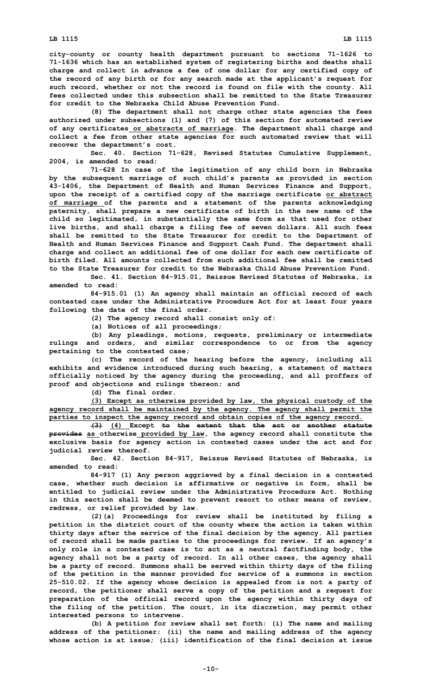**city-county or county health department pursuant to sections 71-1626 to 71-1636 which has an established system of registering births and deaths shall charge and collect in advance <sup>a</sup> fee of one dollar for any certified copy of the record of any birth or for any search made at the applicant's request for such record, whether or not the record is found on file with the county. All fees collected under this subsection shall be remitted to the State Treasurer for credit to the Nebraska Child Abuse Prevention Fund.**

**(8) The department shall not charge other state agencies the fees authorized under subsections (1) and (7) of this section for automated review of any certificates or abstracts of marriage. The department shall charge and collect <sup>a</sup> fee from other state agencies for such automated review that will recover the department's cost.**

**Sec. 40. Section 71-628, Revised Statutes Cumulative Supplement, 2004, is amended to read:**

**71-628 In case of the legitimation of any child born in Nebraska by the subsequent marriage of such child's parents as provided in section 43-1406, the Department of Health and Human Services Finance and Support, upon the receipt of <sup>a</sup> certified copy of the marriage certificate or abstract of marriage of the parents and <sup>a</sup> statement of the parents acknowledging paternity, shall prepare <sup>a</sup> new certificate of birth in the new name of the child so legitimated, in substantially the same form as that used for other live births, and shall charge <sup>a</sup> filing fee of seven dollars. All such fees shall be remitted to the State Treasurer for credit to the Department of Health and Human Services Finance and Support Cash Fund. The department shall charge and collect an additional fee of one dollar for each new certificate of birth filed. All amounts collected from such additional fee shall be remitted to the State Treasurer for credit to the Nebraska Child Abuse Prevention Fund.**

**Sec. 41. Section 84-915.01, Reissue Revised Statutes of Nebraska, is amended to read:**

**84-915.01 (1) An agency shall maintain an official record of each contested case under the Administrative Procedure Act for at least four years following the date of the final order.**

**(2) The agency record shall consist only of:**

**(a) Notices of all proceedings;**

**(b) Any pleadings, motions, requests, preliminary or intermediate rulings and orders, and similar correspondence to or from the agency pertaining to the contested case;**

**(c) The record of the hearing before the agency, including all exhibits and evidence introduced during such hearing, <sup>a</sup> statement of matters officially noticed by the agency during the proceeding, and all proffers of proof and objections and rulings thereon; and**

**(d) The final order.**

**(3) Except as otherwise provided by law, the physical custody of the agency record shall be maintained by the agency. The agency shall permit the parties to inspect the agency record and obtain copies of the agency record.**

**(3) (4) Except to the extent that the act or another statute provides as otherwise provided by law, the agency record shall constitute the exclusive basis for agency action in contested cases under the act and for judicial review thereof.**

**Sec. 42. Section 84-917, Reissue Revised Statutes of Nebraska, is amended to read:**

**84-917 (1) Any person aggrieved by <sup>a</sup> final decision in <sup>a</sup> contested case, whether such decision is affirmative or negative in form, shall be entitled to judicial review under the Administrative Procedure Act. Nothing in this section shall be deemed to prevent resort to other means of review, redress, or relief provided by law.**

**(2)(a) Proceedings for review shall be instituted by filing <sup>a</sup> petition in the district court of the county where the action is taken within thirty days after the service of the final decision by the agency. All parties of record shall be made parties to the proceedings for review. If an agency's only role in <sup>a</sup> contested case is to act as <sup>a</sup> neutral factfinding body, the agency shall not be <sup>a</sup> party of record. In all other cases, the agency shall be <sup>a</sup> party of record. Summons shall be served within thirty days of the filing of the petition in the manner provided for service of <sup>a</sup> summons in section 25-510.02. If the agency whose decision is appealed from is not <sup>a</sup> party of record, the petitioner shall serve <sup>a</sup> copy of the petition and <sup>a</sup> request for preparation of the official record upon the agency within thirty days of the filing of the petition. The court, in its discretion, may permit other interested persons to intervene.**

**(b) <sup>A</sup> petition for review shall set forth: (i) The name and mailing address of the petitioner; (ii) the name and mailing address of the agency whose action is at issue; (iii) identification of the final decision at issue**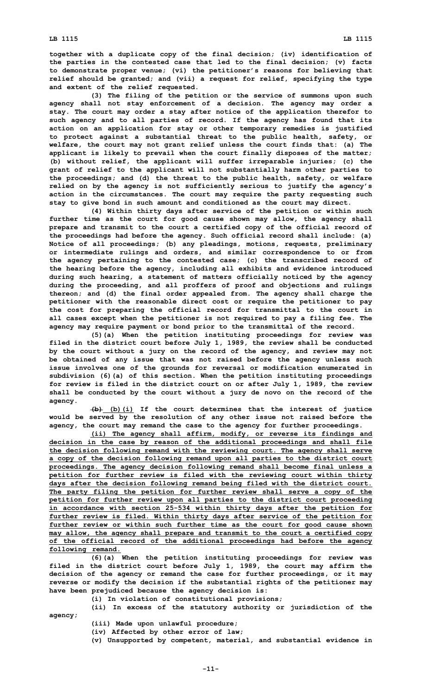**together with <sup>a</sup> duplicate copy of the final decision; (iv) identification of the parties in the contested case that led to the final decision; (v) facts to demonstrate proper venue; (vi) the petitioner's reasons for believing that relief should be granted; and (vii) <sup>a</sup> request for relief, specifying the type and extent of the relief requested.**

**(3) The filing of the petition or the service of summons upon such agency shall not stay enforcement of <sup>a</sup> decision. The agency may order <sup>a</sup> stay. The court may order <sup>a</sup> stay after notice of the application therefor to such agency and to all parties of record. If the agency has found that its action on an application for stay or other temporary remedies is justified to protect against <sup>a</sup> substantial threat to the public health, safety, or welfare, the court may not grant relief unless the court finds that: (a) The applicant is likely to prevail when the court finally disposes of the matter; (b) without relief, the applicant will suffer irreparable injuries; (c) the grant of relief to the applicant will not substantially harm other parties to the proceedings; and (d) the threat to the public health, safety, or welfare relied on by the agency is not sufficiently serious to justify the agency's action in the circumstances. The court may require the party requesting such stay to give bond in such amount and conditioned as the court may direct.**

**(4) Within thirty days after service of the petition or within such further time as the court for good cause shown may allow, the agency shall prepare and transmit to the court <sup>a</sup> certified copy of the official record of the proceedings had before the agency. Such official record shall include: (a) Notice of all proceedings; (b) any pleadings, motions, requests, preliminary or intermediate rulings and orders, and similar correspondence to or from the agency pertaining to the contested case; (c) the transcribed record of the hearing before the agency, including all exhibits and evidence introduced during such hearing, <sup>a</sup> statement of matters officially noticed by the agency during the proceeding, and all proffers of proof and objections and rulings thereon; and (d) the final order appealed from. The agency shall charge the petitioner with the reasonable direct cost or require the petitioner to pay the cost for preparing the official record for transmittal to the court in all cases except when the petitioner is not required to pay <sup>a</sup> filing fee. The agency may require payment or bond prior to the transmittal of the record.**

**(5)(a) When the petition instituting proceedings for review was filed in the district court before July 1, 1989, the review shall be conducted by the court without <sup>a</sup> jury on the record of the agency, and review may not be obtained of any issue that was not raised before the agency unless such issue involves one of the grounds for reversal or modification enumerated in subdivision (6)(a) of this section. When the petition instituting proceedings for review is filed in the district court on or after July 1, 1989, the review shall be conducted by the court without <sup>a</sup> jury de novo on the record of the agency.**

**(b) (b)(i) If the court determines that the interest of justice would be served by the resolution of any other issue not raised before the agency, the court may remand the case to the agency for further proceedings.**

**(ii) The agency shall affirm, modify, or reverse its findings and decision in the case by reason of the additional proceedings and shall file the decision following remand with the reviewing court. The agency shall serve <sup>a</sup> copy of the decision following remand upon all parties to the district court proceedings. The agency decision following remand shall become final unless <sup>a</sup> petition for further review is filed with the reviewing court within thirty days after the decision following remand being filed with the district court. The party filing the petition for further review shall serve <sup>a</sup> copy of the petition for further review upon all parties to the district court proceeding in accordance with section 25-534 within thirty days after the petition for further review is filed. Within thirty days after service of the petition for further review or within such further time as the court for good cause shown may allow, the agency shall prepare and transmit to the court <sup>a</sup> certified copy of the official record of the additional proceedings had before the agency following remand.**

**(6)(a) When the petition instituting proceedings for review was filed in the district court before July 1, 1989, the court may affirm the decision of the agency or remand the case for further proceedings, or it may reverse or modify the decision if the substantial rights of the petitioner may have been prejudiced because the agency decision is:**

**(i) In violation of constitutional provisions;**

**(ii) In excess of the statutory authority or jurisdiction of the agency;**

**(iii) Made upon unlawful procedure;**

**(iv) Affected by other error of law;**

**(v) Unsupported by competent, material, and substantial evidence in**